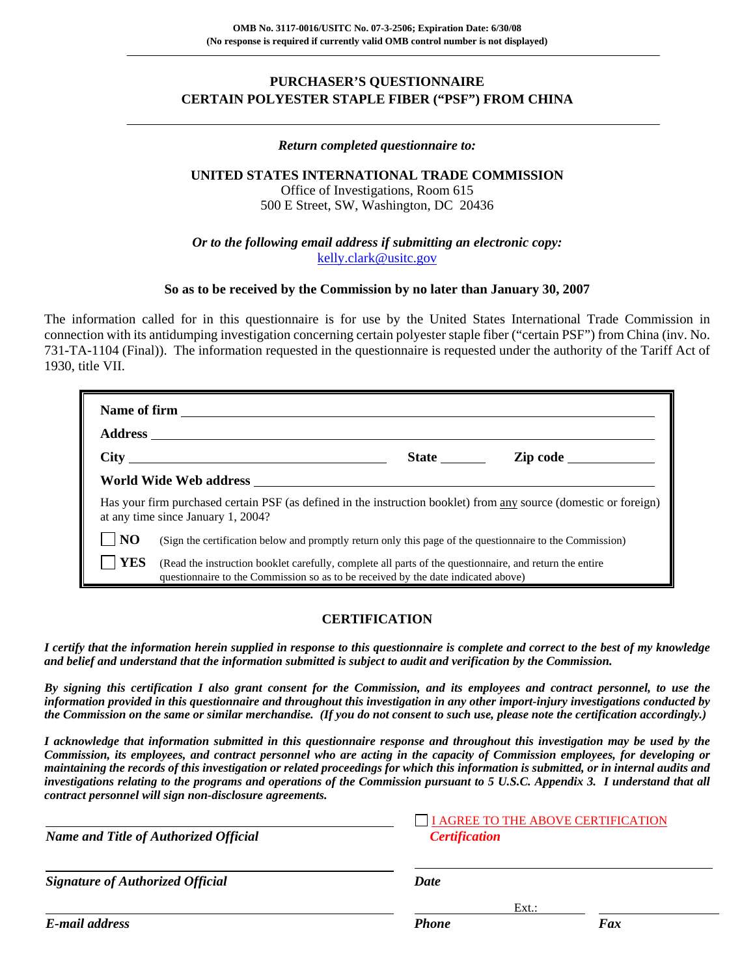## **PURCHASER'S QUESTIONNAIRE CERTAIN POLYESTER STAPLE FIBER ("PSF") FROM CHINA**

#### *Return completed questionnaire to:*

## **UNITED STATES INTERNATIONAL TRADE COMMISSION**

Office of Investigations, Room 615 500 E Street, SW, Washington, DC 20436

*Or to the following email address if submitting an electronic copy:* kelly.clark@usitc.gov

#### **So as to be received by the Commission by no later than January 30, 2007**

The information called for in this questionnaire is for use by the United States International Trade Commission in connection with its antidumping investigation concerning certain polyester staple fiber ("certain PSF") from China (inv. No. 731-TA-1104 (Final)). The information requested in the questionnaire is requested under the authority of the Tariff Act of 1930, title VII.

| Name of firm |                                                                                                                                                                                                                                      |              |          |
|--------------|--------------------------------------------------------------------------------------------------------------------------------------------------------------------------------------------------------------------------------------|--------------|----------|
|              |                                                                                                                                                                                                                                      |              |          |
|              | City <u>the contract of the contract of the contract of the contract of the contract of the contract of the contract of the contract of the contract of the contract of the contract of the contract of the contract of the cont</u> | <b>State</b> | Zip code |
|              |                                                                                                                                                                                                                                      |              |          |
|              | Has your firm purchased certain PSF (as defined in the instruction booklet) from any source (domestic or foreign)<br>at any time since January 1, 2004?                                                                              |              |          |
| <b>NO</b>    | (Sign the certification below and promptly return only this page of the questionnaire to the Commission)                                                                                                                             |              |          |
| <b>YES</b>   | (Read the instruction booklet carefully, complete all parts of the questionnaire, and return the entire<br>questionnaire to the Commission so as to be received by the date indicated above)                                         |              |          |

### **CERTIFICATION**

*I certify that the information herein supplied in response to this questionnaire is complete and correct to the best of my knowledge and belief and understand that the information submitted is subject to audit and verification by the Commission.* 

*By signing this certification I also grant consent for the Commission, and its employees and contract personnel, to use the information provided in this questionnaire and throughout this investigation in any other import-injury investigations conducted by the Commission on the same or similar merchandise. (If you do not consent to such use, please note the certification accordingly.)* 

*I acknowledge that information submitted in this questionnaire response and throughout this investigation may be used by the Commission, its employees, and contract personnel who are acting in the capacity of Commission employees, for developing or maintaining the records of this investigation or related proceedings for which this information is submitted, or in internal audits and investigations relating to the programs and operations of the Commission pursuant to 5 U.S.C. Appendix 3. I understand that all contract personnel will sign non-disclosure agreements.*

| <b>Name and Title of Authorized Official</b> | <b>Certification</b> | I AGREE TO THE ABOVE CERTIFICATION |
|----------------------------------------------|----------------------|------------------------------------|
| <b>Signature of Authorized Official</b>      | Date                 |                                    |
|                                              | $Ext.$ :             |                                    |
| E-mail address                               | <b>Phone</b>         | Fax                                |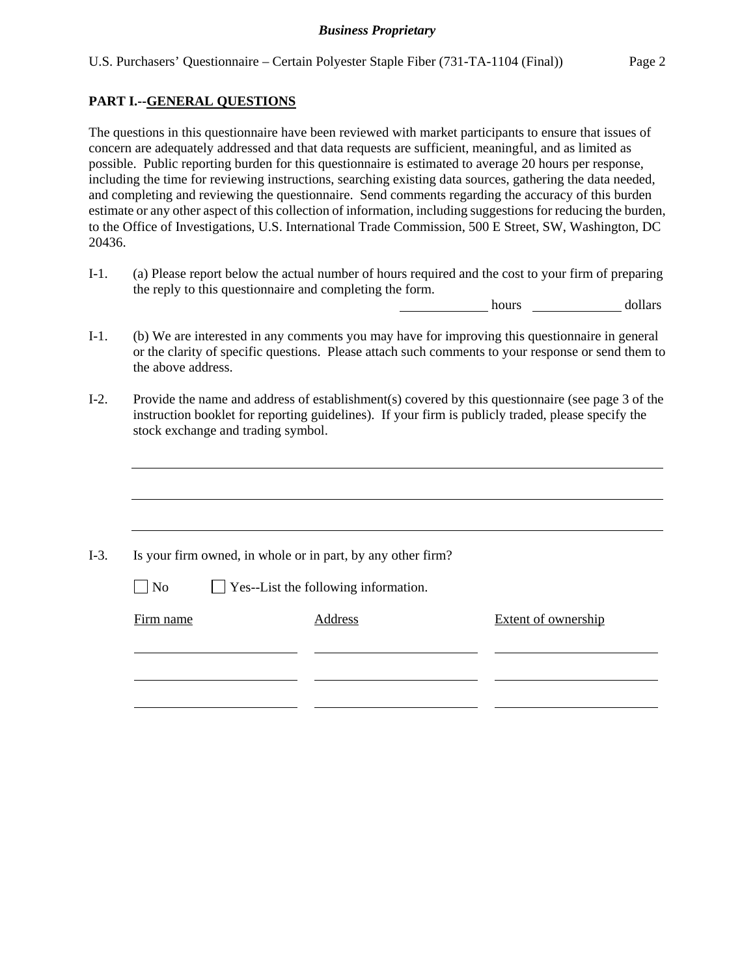## **PART I.--GENERAL QUESTIONS**

 $\overline{a}$ 

 $\overline{a}$ 

The questions in this questionnaire have been reviewed with market participants to ensure that issues of concern are adequately addressed and that data requests are sufficient, meaningful, and as limited as possible. Public reporting burden for this questionnaire is estimated to average 20 hours per response, including the time for reviewing instructions, searching existing data sources, gathering the data needed, and completing and reviewing the questionnaire. Send comments regarding the accuracy of this burden estimate or any other aspect of this collection of information, including suggestions for reducing the burden, to the Office of Investigations, U.S. International Trade Commission, 500 E Street, SW, Washington, DC 20436.

I-1. (a) Please report below the actual number of hours required and the cost to your firm of preparing the reply to this questionnaire and completing the form.

hours dollars

- I-1. (b) We are interested in any comments you may have for improving this questionnaire in general or the clarity of specific questions. Please attach such comments to your response or send them to the above address.
- I-2. Provide the name and address of establishment(s) covered by this questionnaire (see page 3 of the instruction booklet for reporting guidelines). If your firm is publicly traded, please specify the stock exchange and trading symbol.

| $\blacksquare$ No | Yes--List the following information. |                            |
|-------------------|--------------------------------------|----------------------------|
|                   |                                      |                            |
| Firm name         | Address                              | <b>Extent of ownership</b> |
|                   |                                      |                            |
|                   |                                      |                            |
|                   |                                      |                            |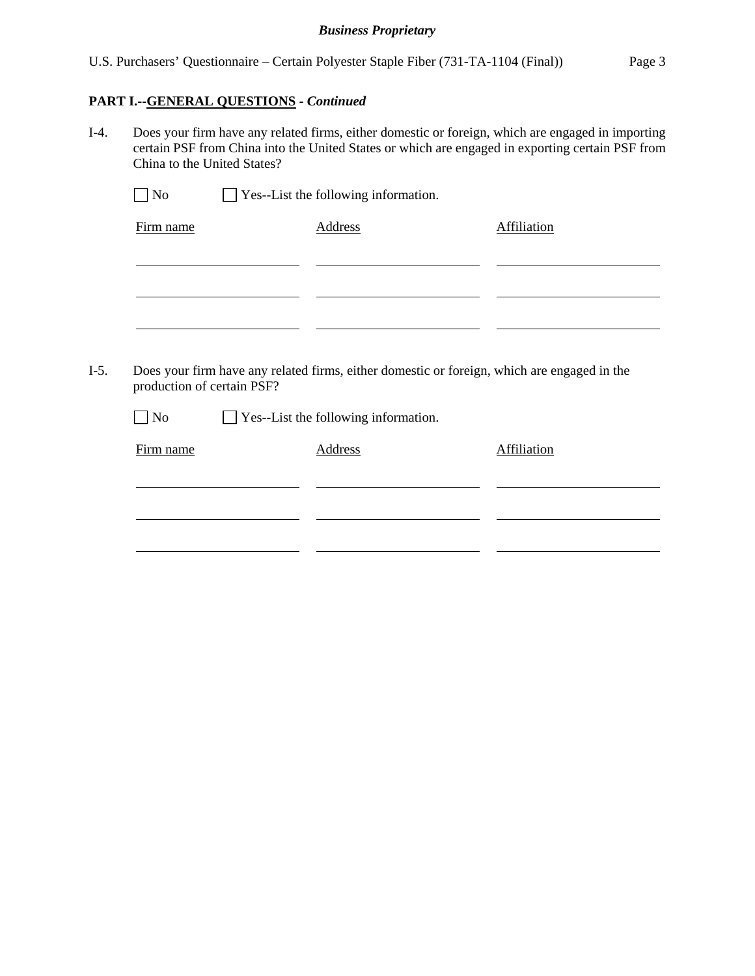### **PART I.--GENERAL QUESTIONS** *- Continued*

I-4. Does your firm have any related firms, either domestic or foreign, which are engaged in importing certain PSF from China into the United States or which are engaged in exporting certain PSF from China to the United States?

| $\Box$ No | Yes--List the following information. |             |
|-----------|--------------------------------------|-------------|
| Firm name | Address                              | Affiliation |
|           |                                      |             |
|           |                                      |             |
|           |                                      |             |
|           |                                      |             |

I-5. Does your firm have any related firms, either domestic or foreign, which are engaged in the production of certain PSF?

No  $\Box$  Yes--List the following information.

| Firm name | Address | Affiliation |
|-----------|---------|-------------|
|           |         |             |
|           |         |             |
|           |         |             |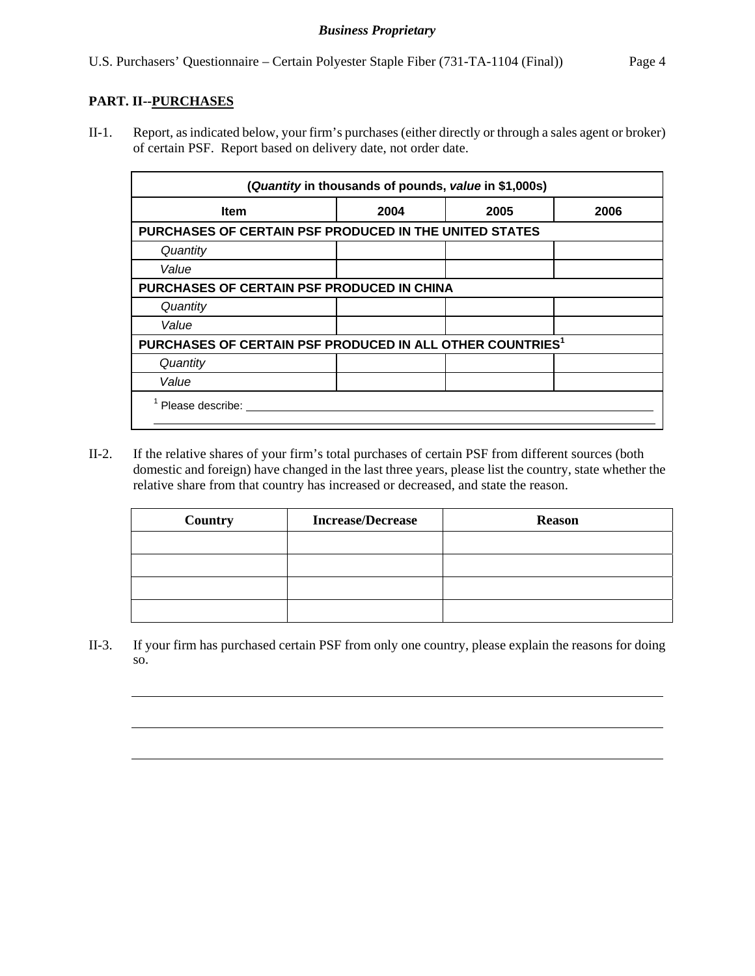## **PART. II--PURCHASES**

l

 $\overline{a}$ 

 $\overline{a}$ 

II-1. Report, as indicated below, your firm's purchases (either directly or through a sales agent or broker) of certain PSF. Report based on delivery date, not order date.

|                                                                       | (Quantity in thousands of pounds, value in \$1,000s) |      |      |
|-----------------------------------------------------------------------|------------------------------------------------------|------|------|
| <b>Item</b>                                                           | 2004                                                 | 2005 | 2006 |
| PURCHASES OF CERTAIN PSF PRODUCED IN THE UNITED STATES                |                                                      |      |      |
| Quantity                                                              |                                                      |      |      |
| Value                                                                 |                                                      |      |      |
| PURCHASES OF CERTAIN PSF PRODUCED IN CHINA                            |                                                      |      |      |
| Quantity                                                              |                                                      |      |      |
| Value                                                                 |                                                      |      |      |
| PURCHASES OF CERTAIN PSF PRODUCED IN ALL OTHER COUNTRIES <sup>1</sup> |                                                      |      |      |
| Quantity                                                              |                                                      |      |      |
| Value                                                                 |                                                      |      |      |
| Please describe:                                                      |                                                      |      |      |

II-2. If the relative shares of your firm's total purchases of certain PSF from different sources (both domestic and foreign) have changed in the last three years, please list the country, state whether the relative share from that country has increased or decreased, and state the reason.

| Country | <b>Increase/Decrease</b> | <b>Reason</b> |
|---------|--------------------------|---------------|
|         |                          |               |
|         |                          |               |
|         |                          |               |
|         |                          |               |

II-3. If your firm has purchased certain PSF from only one country, please explain the reasons for doing so.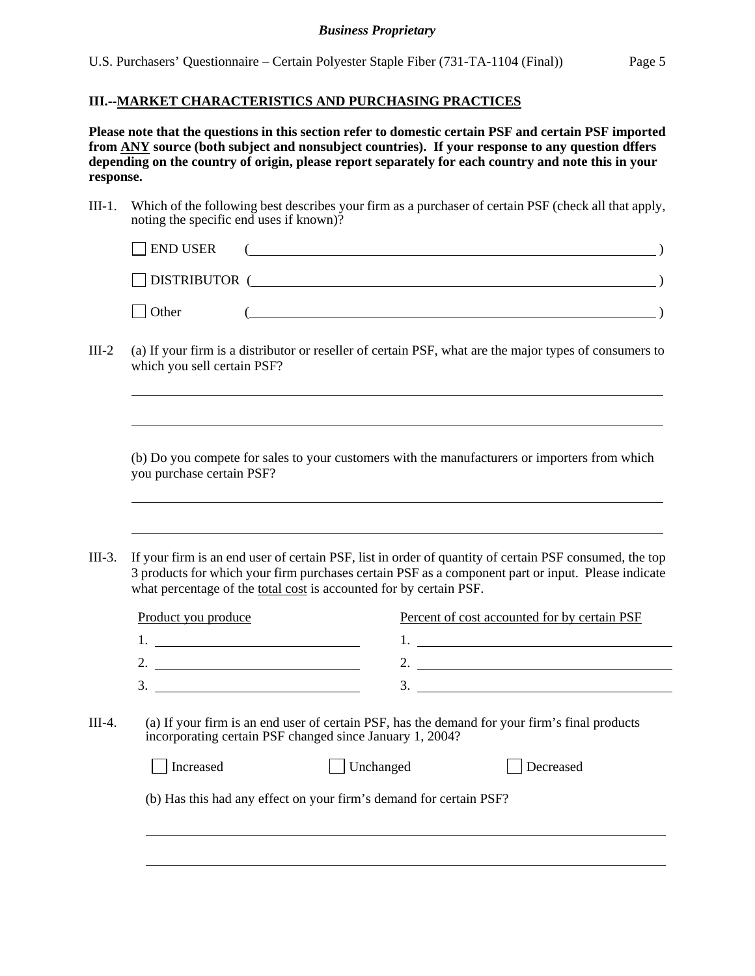U.S. Purchasers' Questionnaire – Certain Polyester Staple Fiber (731-TA-1104 (Final)) Page 5

## **III.--MARKET CHARACTERISTICS AND PURCHASING PRACTICES**

l

l

 $\overline{a}$ 

**Please note that the questions in this section refer to domestic certain PSF and certain PSF imported from ANY source (both subject and nonsubject countries). If your response to any question dffers depending on the country of origin, please report separately for each country and note this in your response.** 

III-1. Which of the following best describes your firm as a purchaser of certain PSF (check all that apply, noting the specific end uses if known)?

| $\Box$ END USER      |  |
|----------------------|--|
| $\Box$ DISTRIBUTOR ( |  |
| $\vert$ Other        |  |

III-2 (a) If your firm is a distributor or reseller of certain PSF, what are the major types of consumers to which you sell certain PSF?

 (b) Do you compete for sales to your customers with the manufacturers or importers from which you purchase certain PSF?

III-3. If your firm is an end user of certain PSF, list in order of quantity of certain PSF consumed, the top 3 products for which your firm purchases certain PSF as a component part or input. Please indicate what percentage of the total cost is accounted for by certain PSF.

| Product you produce | Percent of cost accounted for by certain PSF |
|---------------------|----------------------------------------------|
|                     |                                              |
| ◠<br>ـ ت            |                                              |
| 3.                  |                                              |

III-4. (a) If your firm is an end user of certain PSF, has the demand for your firm's final products incorporating certain PSF changed since January 1, 2004?

| Increased | $\vert$ Unchanged                                                  | Decreased |
|-----------|--------------------------------------------------------------------|-----------|
|           | (b) Has this had any effect on your firm's demand for certain PSF? |           |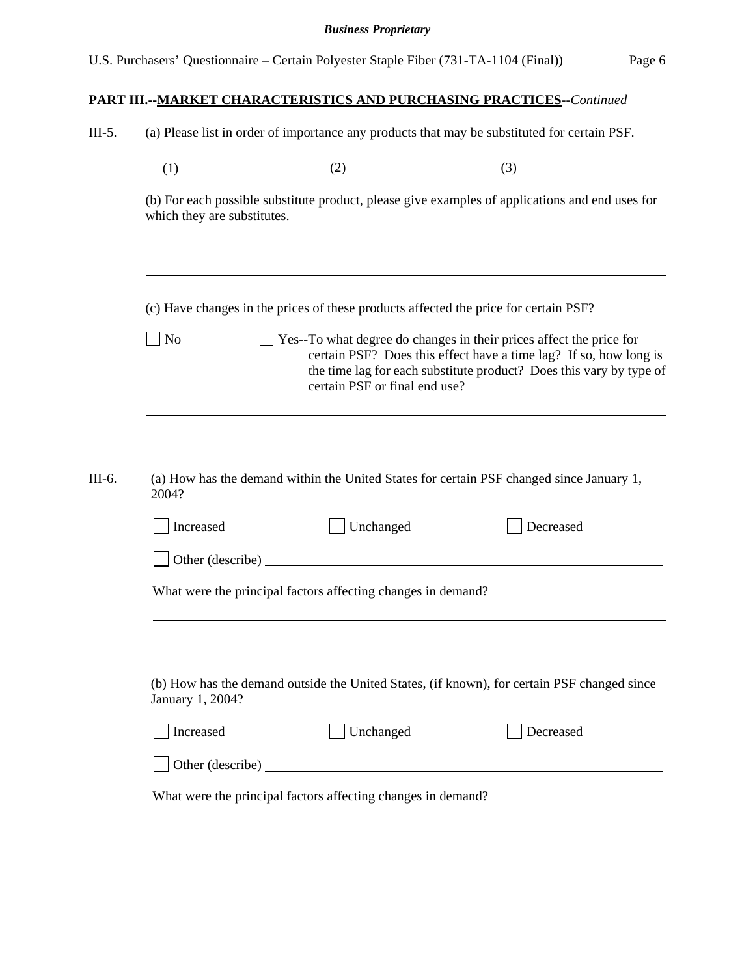| U.S. Purchasers' Questionnaire – Certain Polyester Staple Fiber (731-TA-1104 (Final)) | Page 6 |
|---------------------------------------------------------------------------------------|--------|

| which they are substitutes. |                                                                                      | (b) For each possible substitute product, please give examples of applications and end uses for                                                                                                                 |
|-----------------------------|--------------------------------------------------------------------------------------|-----------------------------------------------------------------------------------------------------------------------------------------------------------------------------------------------------------------|
|                             | (c) Have changes in the prices of these products affected the price for certain PSF? |                                                                                                                                                                                                                 |
| $\rfloor$ No                | certain PSF or final end use?                                                        | Yes--To what degree do changes in their prices affect the price for<br>certain PSF? Does this effect have a time lag? If so, how long is<br>the time lag for each substitute product? Does this vary by type of |
|                             |                                                                                      |                                                                                                                                                                                                                 |
|                             |                                                                                      |                                                                                                                                                                                                                 |
| 2004?                       |                                                                                      | (a) How has the demand within the United States for certain PSF changed since January 1,                                                                                                                        |
| Increased                   | Unchanged                                                                            | Decreased                                                                                                                                                                                                       |
|                             | Other (describe)                                                                     |                                                                                                                                                                                                                 |
|                             | What were the principal factors affecting changes in demand?                         |                                                                                                                                                                                                                 |
|                             |                                                                                      |                                                                                                                                                                                                                 |
|                             |                                                                                      |                                                                                                                                                                                                                 |
| January 1, 2004?            |                                                                                      | (b) How has the demand outside the United States, (if known), for certain PSF changed since                                                                                                                     |
| Increased                   | Unchanged                                                                            | Decreased                                                                                                                                                                                                       |
|                             |                                                                                      |                                                                                                                                                                                                                 |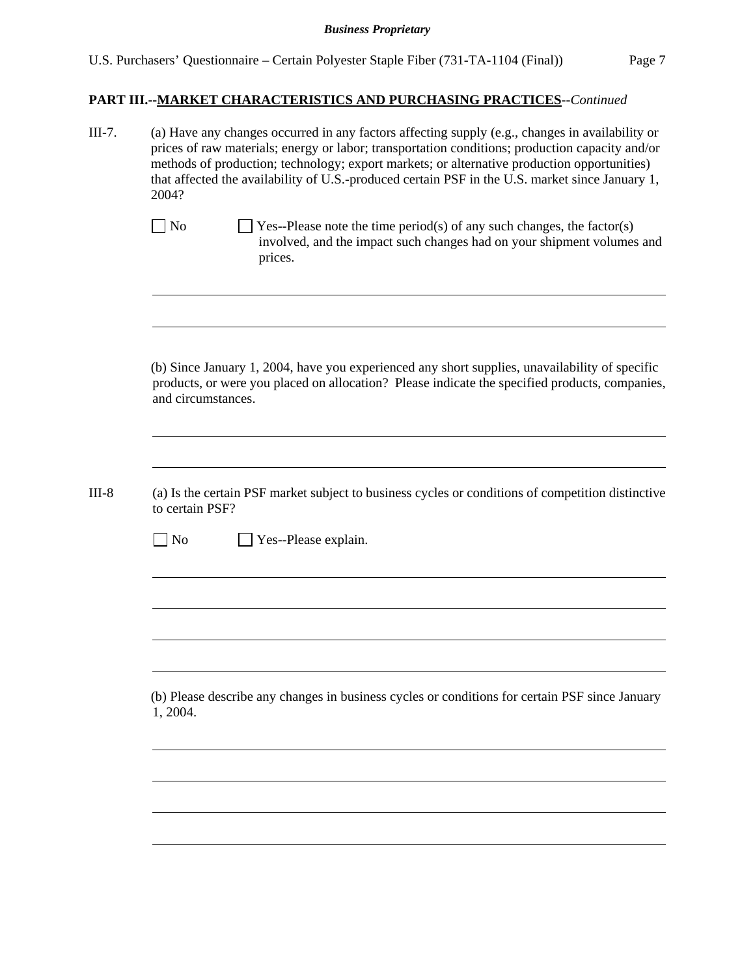| III-7.  | (a) Have any changes occurred in any factors affecting supply (e.g., changes in availability or<br>prices of raw materials; energy or labor; transportation conditions; production capacity and/or<br>methods of production; technology; export markets; or alternative production opportunities)<br>that affected the availability of U.S.-produced certain PSF in the U.S. market since January 1,<br>2004? |  |  |  |  |
|---------|---------------------------------------------------------------------------------------------------------------------------------------------------------------------------------------------------------------------------------------------------------------------------------------------------------------------------------------------------------------------------------------------------------------|--|--|--|--|
|         | $\Box$ No<br>Yes--Please note the time period(s) of any such changes, the factor(s)<br>involved, and the impact such changes had on your shipment volumes and<br>prices.                                                                                                                                                                                                                                      |  |  |  |  |
|         | (b) Since January 1, 2004, have you experienced any short supplies, unavailability of specific<br>products, or were you placed on allocation? Please indicate the specified products, companies,<br>and circumstances.                                                                                                                                                                                        |  |  |  |  |
| $III-8$ | (a) Is the certain PSF market subject to business cycles or conditions of competition distinctive<br>to certain PSF?<br>Yes--Please explain.<br>No                                                                                                                                                                                                                                                            |  |  |  |  |
|         | (b) Please describe any changes in business cycles or conditions for certain PSF since January                                                                                                                                                                                                                                                                                                                |  |  |  |  |
|         | 1, 2004.                                                                                                                                                                                                                                                                                                                                                                                                      |  |  |  |  |
|         |                                                                                                                                                                                                                                                                                                                                                                                                               |  |  |  |  |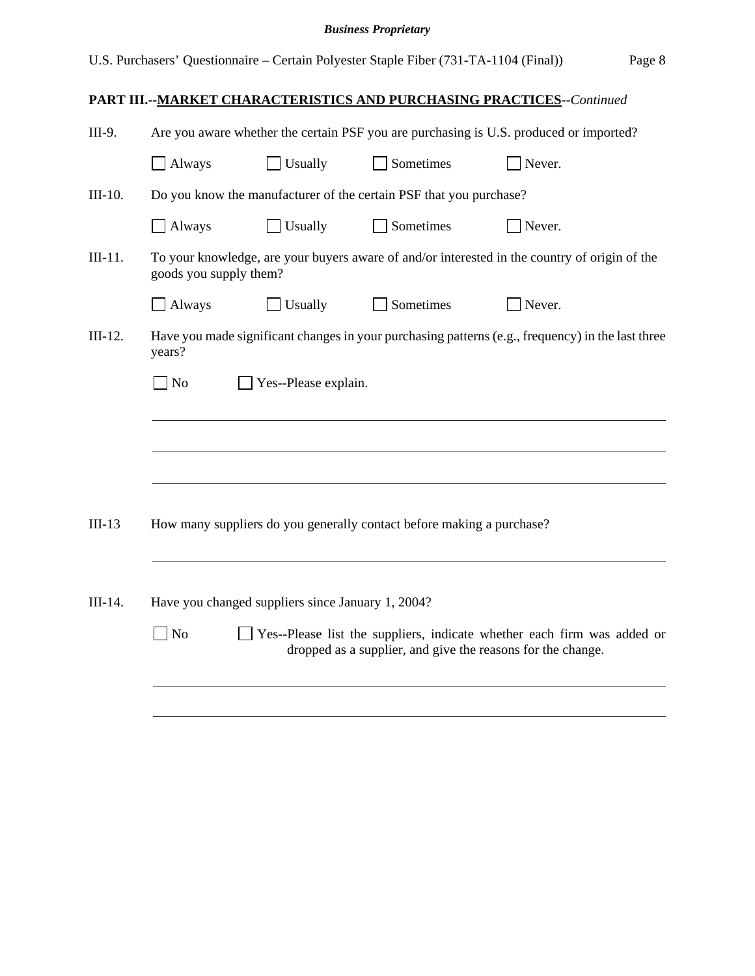| III-9.                                                       | Are you aware whether the certain PSF you are purchasing is U.S. produced or imported?                                                                   |                      |                                                                       |                                                                                                   |  |
|--------------------------------------------------------------|----------------------------------------------------------------------------------------------------------------------------------------------------------|----------------------|-----------------------------------------------------------------------|---------------------------------------------------------------------------------------------------|--|
|                                                              | Always                                                                                                                                                   | Usually              | Sometimes                                                             | Never.                                                                                            |  |
| $III-10.$                                                    |                                                                                                                                                          |                      | Do you know the manufacturer of the certain PSF that you purchase?    |                                                                                                   |  |
|                                                              | Always                                                                                                                                                   | Usually              | Sometimes                                                             | Never.                                                                                            |  |
| $III-11.$                                                    | goods you supply them?                                                                                                                                   |                      |                                                                       | To your knowledge, are your buyers aware of and/or interested in the country of origin of the     |  |
|                                                              | $\Box$ Always                                                                                                                                            | Usually              | Sometimes                                                             | Never.                                                                                            |  |
| $III-12.$                                                    | years?                                                                                                                                                   |                      |                                                                       | Have you made significant changes in your purchasing patterns (e.g., frequency) in the last three |  |
|                                                              | $\Box$ No                                                                                                                                                | Yes--Please explain. |                                                                       |                                                                                                   |  |
|                                                              |                                                                                                                                                          |                      |                                                                       |                                                                                                   |  |
|                                                              |                                                                                                                                                          |                      |                                                                       |                                                                                                   |  |
|                                                              |                                                                                                                                                          |                      |                                                                       |                                                                                                   |  |
|                                                              |                                                                                                                                                          |                      |                                                                       |                                                                                                   |  |
| $III-13$                                                     |                                                                                                                                                          |                      | How many suppliers do you generally contact before making a purchase? |                                                                                                   |  |
|                                                              |                                                                                                                                                          |                      |                                                                       |                                                                                                   |  |
| III-14.<br>Have you changed suppliers since January 1, 2004? |                                                                                                                                                          |                      |                                                                       |                                                                                                   |  |
|                                                              | Yes--Please list the suppliers, indicate whether each firm was added or<br>N <sub>o</sub><br>dropped as a supplier, and give the reasons for the change. |                      |                                                                       |                                                                                                   |  |
|                                                              |                                                                                                                                                          |                      |                                                                       |                                                                                                   |  |
|                                                              |                                                                                                                                                          |                      |                                                                       |                                                                                                   |  |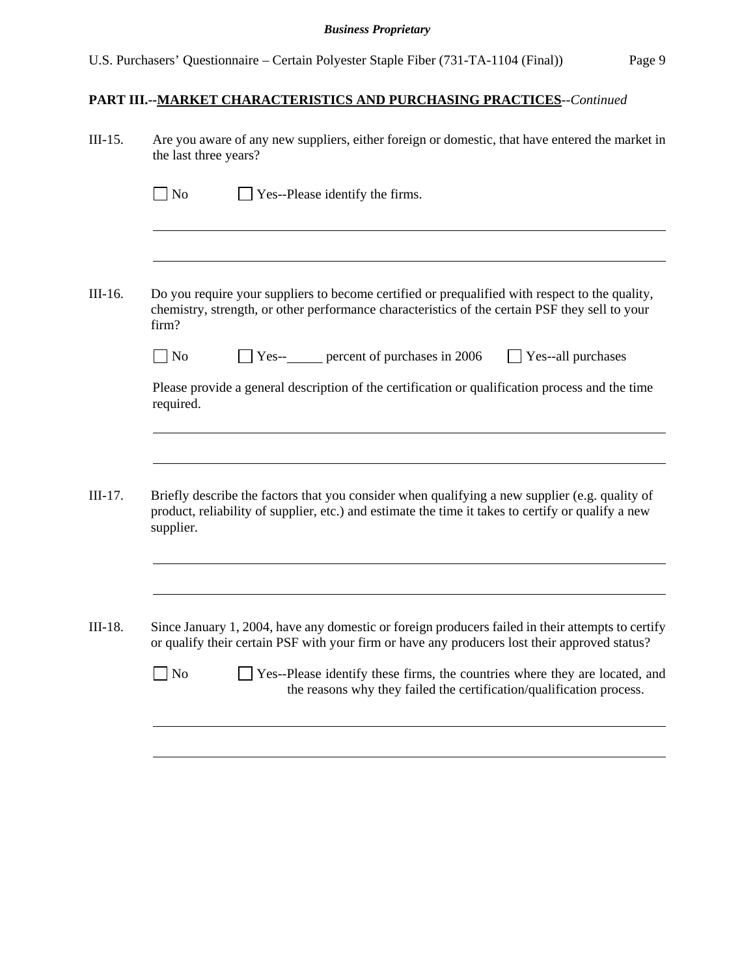| III-15.   | Are you aware of any new suppliers, either foreign or domestic, that have entered the market in<br>the last three years?                                                                                                                                                                |  |  |  |  |
|-----------|-----------------------------------------------------------------------------------------------------------------------------------------------------------------------------------------------------------------------------------------------------------------------------------------|--|--|--|--|
|           | N <sub>o</sub><br>Yes--Please identify the firms.                                                                                                                                                                                                                                       |  |  |  |  |
|           |                                                                                                                                                                                                                                                                                         |  |  |  |  |
| III-16.   | Do you require your suppliers to become certified or prequalified with respect to the quality,<br>chemistry, strength, or other performance characteristics of the certain PSF they sell to your<br>firm?                                                                               |  |  |  |  |
|           | Yes--<br>percent of purchases in 2006<br>No<br>Yes--all purchases                                                                                                                                                                                                                       |  |  |  |  |
|           | Please provide a general description of the certification or qualification process and the time<br>required.                                                                                                                                                                            |  |  |  |  |
| $III-17.$ | Briefly describe the factors that you consider when qualifying a new supplier (e.g. quality of<br>product, reliability of supplier, etc.) and estimate the time it takes to certify or qualify a new<br>supplier.                                                                       |  |  |  |  |
| III-18.   | Since January 1, 2004, have any domestic or foreign producers failed in their attempts to certify<br>or qualify their certain PSF with your firm or have any producers lost their approved status?<br>Yes--Please identify these firms, the countries where they are located, and<br>No |  |  |  |  |
|           | the reasons why they failed the certification/qualification process.                                                                                                                                                                                                                    |  |  |  |  |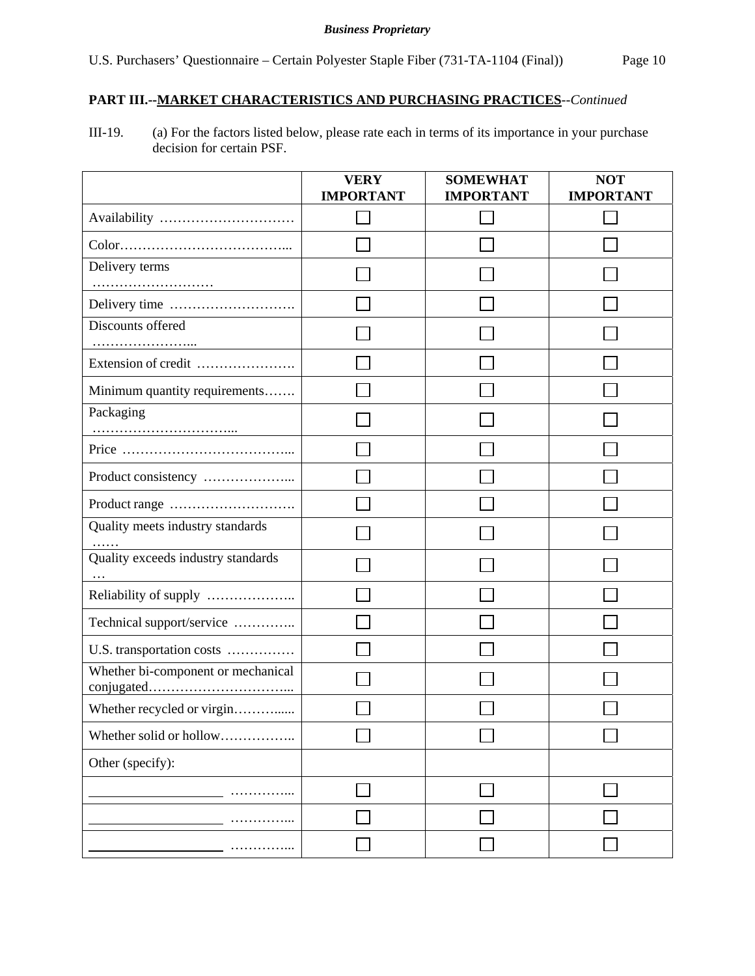# **PART III.--MARKET CHARACTERISTICS AND PURCHASING PRACTICES***--Continued*

III-19. (a) For the factors listed below, please rate each in terms of its importance in your purchase decision for certain PSF.

|                                                | <b>VERY</b><br><b>IMPORTANT</b> | <b>SOMEWHAT</b><br><b>IMPORTANT</b> | <b>NOT</b><br><b>IMPORTANT</b> |
|------------------------------------------------|---------------------------------|-------------------------------------|--------------------------------|
| Availability                                   |                                 |                                     |                                |
|                                                |                                 |                                     |                                |
| Delivery terms                                 |                                 |                                     |                                |
|                                                |                                 |                                     |                                |
| Discounts offered                              |                                 |                                     |                                |
| Extension of credit                            |                                 |                                     |                                |
| Minimum quantity requirements                  |                                 |                                     |                                |
| Packaging                                      |                                 |                                     |                                |
|                                                |                                 |                                     |                                |
|                                                |                                 |                                     |                                |
|                                                |                                 |                                     |                                |
| Quality meets industry standards               |                                 |                                     |                                |
| Quality exceeds industry standards<br>$\cdots$ |                                 |                                     |                                |
| Reliability of supply                          |                                 |                                     |                                |
| Technical support/service                      |                                 |                                     |                                |
| U.S. transportation costs                      |                                 |                                     |                                |
| Whether bi-component or mechanical             |                                 |                                     |                                |
| Whether recycled or virgin                     |                                 |                                     |                                |
| Whether solid or hollow                        |                                 |                                     |                                |
| Other (specify):                               |                                 |                                     |                                |
|                                                |                                 |                                     |                                |
|                                                |                                 |                                     |                                |
|                                                |                                 |                                     |                                |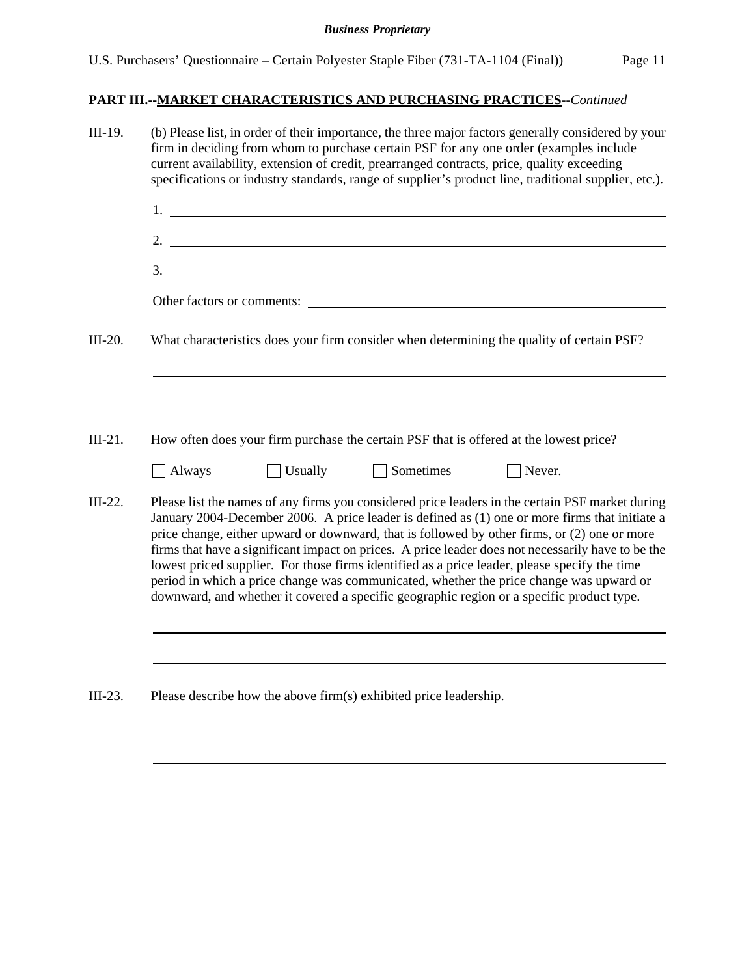|               | (b) Please list, in order of their importance, the three major factors generally considered by your<br>firm in deciding from whom to purchase certain PSF for any one order (examples include<br>current availability, extension of credit, prearranged contracts, price, quality exceeding                                                                                                                                                                                                                                                                                                                                                                                                       |
|---------------|---------------------------------------------------------------------------------------------------------------------------------------------------------------------------------------------------------------------------------------------------------------------------------------------------------------------------------------------------------------------------------------------------------------------------------------------------------------------------------------------------------------------------------------------------------------------------------------------------------------------------------------------------------------------------------------------------|
|               | specifications or industry standards, range of supplier's product line, traditional supplier, etc.).                                                                                                                                                                                                                                                                                                                                                                                                                                                                                                                                                                                              |
|               | $1.$ $\frac{1}{2}$ $\frac{1}{2}$ $\frac{1}{2}$ $\frac{1}{2}$ $\frac{1}{2}$ $\frac{1}{2}$ $\frac{1}{2}$ $\frac{1}{2}$ $\frac{1}{2}$ $\frac{1}{2}$ $\frac{1}{2}$ $\frac{1}{2}$ $\frac{1}{2}$ $\frac{1}{2}$ $\frac{1}{2}$ $\frac{1}{2}$ $\frac{1}{2}$ $\frac{1}{2}$ $\frac{1}{2}$ $\frac{1}{2}$ $\frac{1}{2}$ $\frac{1}{$                                                                                                                                                                                                                                                                                                                                                                            |
|               | 2. $\overline{\phantom{a}}$                                                                                                                                                                                                                                                                                                                                                                                                                                                                                                                                                                                                                                                                       |
|               | 3.                                                                                                                                                                                                                                                                                                                                                                                                                                                                                                                                                                                                                                                                                                |
|               | Other factors or comments:                                                                                                                                                                                                                                                                                                                                                                                                                                                                                                                                                                                                                                                                        |
|               | What characteristics does your firm consider when determining the quality of certain PSF?                                                                                                                                                                                                                                                                                                                                                                                                                                                                                                                                                                                                         |
|               |                                                                                                                                                                                                                                                                                                                                                                                                                                                                                                                                                                                                                                                                                                   |
|               |                                                                                                                                                                                                                                                                                                                                                                                                                                                                                                                                                                                                                                                                                                   |
|               | How often does your firm purchase the certain PSF that is offered at the lowest price?                                                                                                                                                                                                                                                                                                                                                                                                                                                                                                                                                                                                            |
|               |                                                                                                                                                                                                                                                                                                                                                                                                                                                                                                                                                                                                                                                                                                   |
| $\Box$ Always | Usually<br>$\Box$ Sometimes<br>$\Box$ Never.                                                                                                                                                                                                                                                                                                                                                                                                                                                                                                                                                                                                                                                      |
|               | Please list the names of any firms you considered price leaders in the certain PSF market during<br>January 2004-December 2006. A price leader is defined as (1) one or more firms that initiate a<br>price change, either upward or downward, that is followed by other firms, or (2) one or more<br>firms that have a significant impact on prices. A price leader does not necessarily have to be the<br>lowest priced supplier. For those firms identified as a price leader, please specify the time<br>period in which a price change was communicated, whether the price change was upward or<br>downward, and whether it covered a specific geographic region or a specific product type. |
|               |                                                                                                                                                                                                                                                                                                                                                                                                                                                                                                                                                                                                                                                                                                   |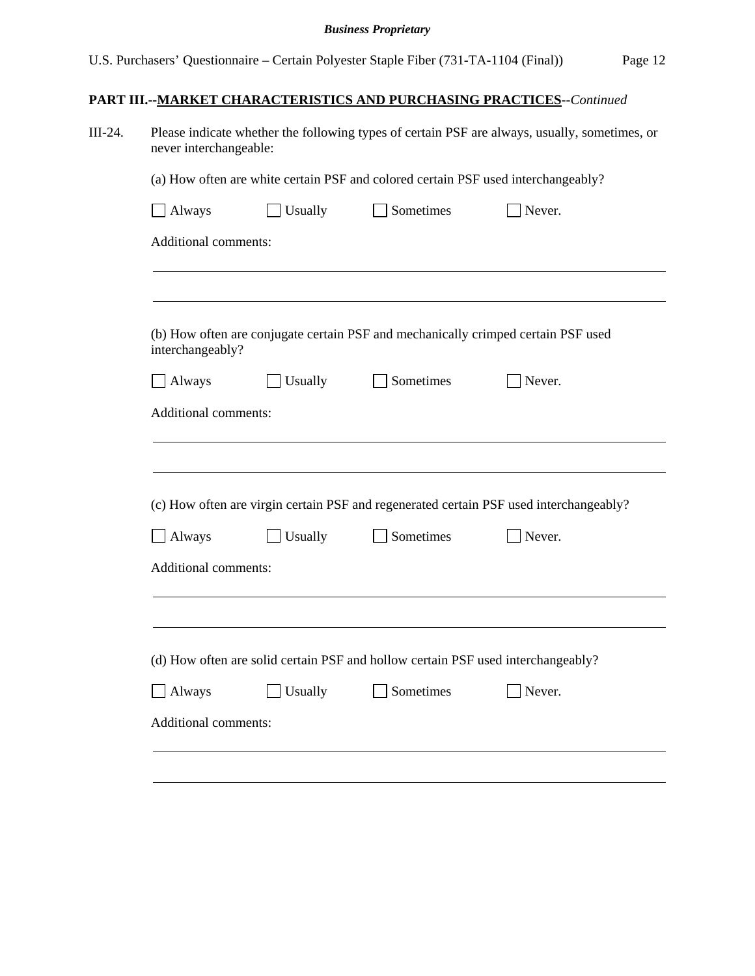| Sometimes<br>$\Box$ Always<br>Usually<br>Never.<br>Additional comments:<br>(b) How often are conjugate certain PSF and mechanically crimped certain PSF used<br>interchangeably?<br>Sometimes<br>Always<br>Usually<br>Never.<br>Additional comments:<br>(c) How often are virgin certain PSF and regenerated certain PSF used interchangeably?<br>Sometimes<br>$\Box$ Always<br>Usually<br>Never.<br>Additional comments:<br>(d) How often are solid certain PSF and hollow certain PSF used interchangeably?<br>Always<br>Usually<br>Sometimes<br>Never. |                      |  | (a) How often are white certain PSF and colored certain PSF used interchangeably? |  |  |  |  |
|-----------------------------------------------------------------------------------------------------------------------------------------------------------------------------------------------------------------------------------------------------------------------------------------------------------------------------------------------------------------------------------------------------------------------------------------------------------------------------------------------------------------------------------------------------------|----------------------|--|-----------------------------------------------------------------------------------|--|--|--|--|
|                                                                                                                                                                                                                                                                                                                                                                                                                                                                                                                                                           |                      |  |                                                                                   |  |  |  |  |
|                                                                                                                                                                                                                                                                                                                                                                                                                                                                                                                                                           |                      |  |                                                                                   |  |  |  |  |
|                                                                                                                                                                                                                                                                                                                                                                                                                                                                                                                                                           |                      |  |                                                                                   |  |  |  |  |
|                                                                                                                                                                                                                                                                                                                                                                                                                                                                                                                                                           |                      |  |                                                                                   |  |  |  |  |
|                                                                                                                                                                                                                                                                                                                                                                                                                                                                                                                                                           |                      |  |                                                                                   |  |  |  |  |
|                                                                                                                                                                                                                                                                                                                                                                                                                                                                                                                                                           |                      |  |                                                                                   |  |  |  |  |
|                                                                                                                                                                                                                                                                                                                                                                                                                                                                                                                                                           |                      |  |                                                                                   |  |  |  |  |
|                                                                                                                                                                                                                                                                                                                                                                                                                                                                                                                                                           |                      |  |                                                                                   |  |  |  |  |
|                                                                                                                                                                                                                                                                                                                                                                                                                                                                                                                                                           |                      |  |                                                                                   |  |  |  |  |
|                                                                                                                                                                                                                                                                                                                                                                                                                                                                                                                                                           |                      |  |                                                                                   |  |  |  |  |
|                                                                                                                                                                                                                                                                                                                                                                                                                                                                                                                                                           |                      |  |                                                                                   |  |  |  |  |
|                                                                                                                                                                                                                                                                                                                                                                                                                                                                                                                                                           |                      |  |                                                                                   |  |  |  |  |
|                                                                                                                                                                                                                                                                                                                                                                                                                                                                                                                                                           |                      |  |                                                                                   |  |  |  |  |
|                                                                                                                                                                                                                                                                                                                                                                                                                                                                                                                                                           |                      |  |                                                                                   |  |  |  |  |
|                                                                                                                                                                                                                                                                                                                                                                                                                                                                                                                                                           |                      |  |                                                                                   |  |  |  |  |
|                                                                                                                                                                                                                                                                                                                                                                                                                                                                                                                                                           |                      |  |                                                                                   |  |  |  |  |
|                                                                                                                                                                                                                                                                                                                                                                                                                                                                                                                                                           | Additional comments: |  |                                                                                   |  |  |  |  |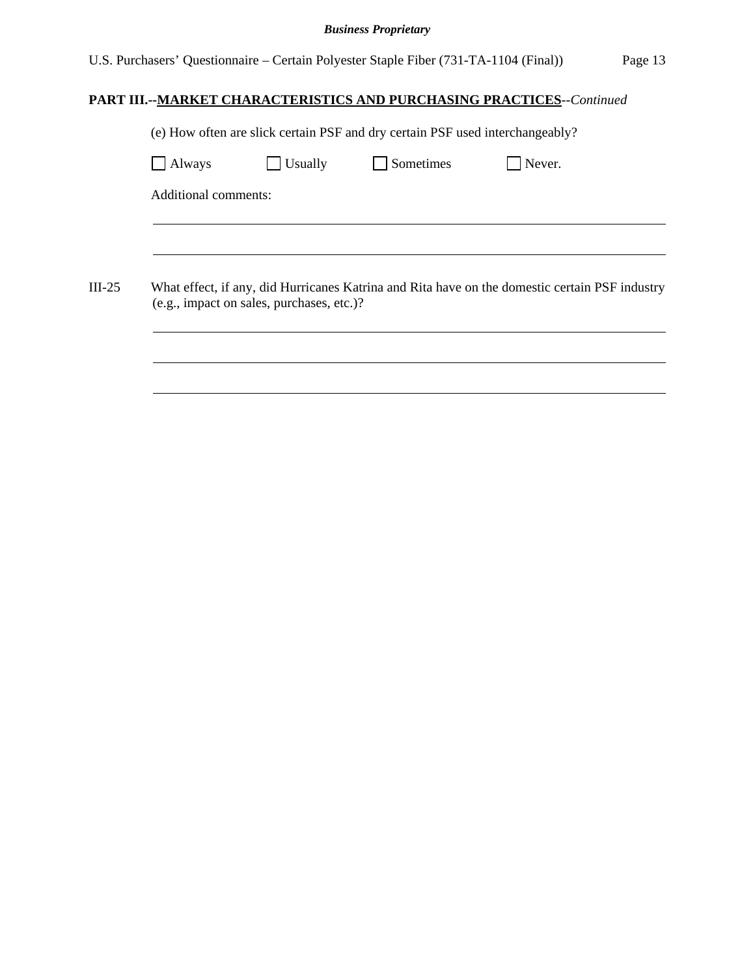U.S. Purchasers' Questionnaire – Certain Polyester Staple Fiber (731-TA-1104 (Final)) Page 13

| (e) How often are slick certain PSF and dry certain PSF used interchangeably?                                                               |         |           |        |  |  |
|---------------------------------------------------------------------------------------------------------------------------------------------|---------|-----------|--------|--|--|
| Always                                                                                                                                      | Usually | Sometimes | Never. |  |  |
| Additional comments:                                                                                                                        |         |           |        |  |  |
|                                                                                                                                             |         |           |        |  |  |
|                                                                                                                                             |         |           |        |  |  |
|                                                                                                                                             |         |           |        |  |  |
| What effect, if any, did Hurricanes Katrina and Rita have on the domestic certain PSF industry<br>(e.g., impact on sales, purchases, etc.)? |         |           |        |  |  |
|                                                                                                                                             |         |           |        |  |  |
|                                                                                                                                             |         |           |        |  |  |
|                                                                                                                                             |         |           |        |  |  |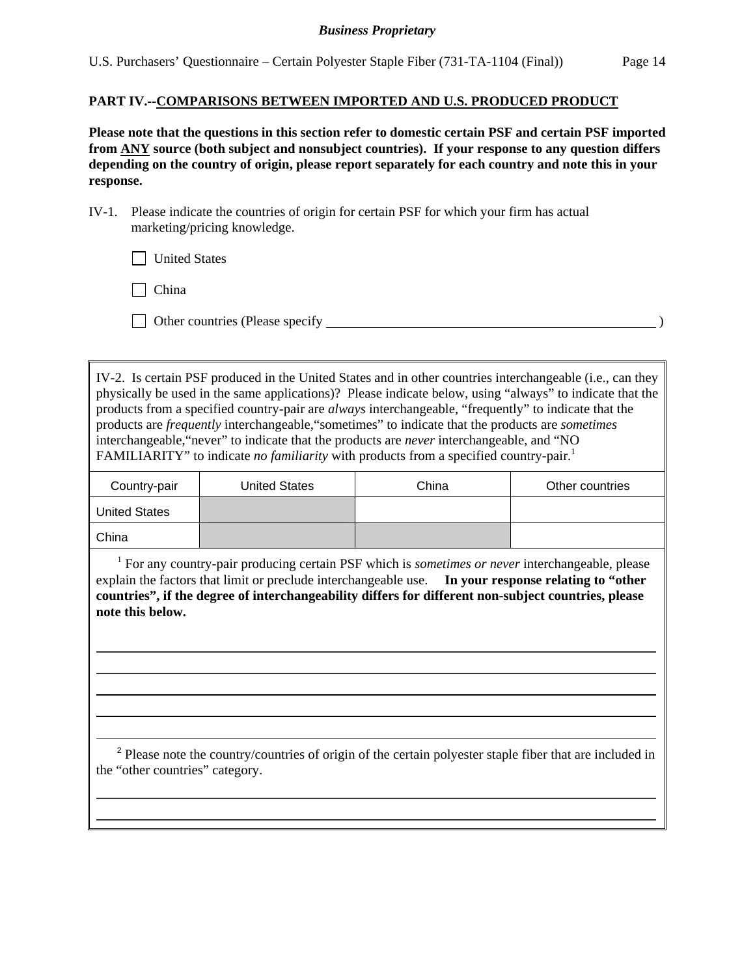### **PART IV.--COMPARISONS BETWEEN IMPORTED AND U.S. PRODUCED PRODUCT**

**Please note that the questions in this section refer to domestic certain PSF and certain PSF imported from ANY source (both subject and nonsubject countries). If your response to any question differs depending on the country of origin, please report separately for each country and note this in your response.** 

IV-1. Please indicate the countries of origin for certain PSF for which your firm has actual marketing/pricing knowledge.

**United States** 

 $\Box$  China

 $\overline{a}$ 

 $\overline{a}$ 

Other countries (Please specify )

IV-2. Is certain PSF produced in the United States and in other countries interchangeable (i.e., can they physically be used in the same applications)? Please indicate below, using "always" to indicate that the products from a specified country-pair are *always* interchangeable, "frequently" to indicate that the products are *frequently* interchangeable,"sometimes" to indicate that the products are *sometimes* interchangeable,"never" to indicate that the products are *never* interchangeable, and "NO FAMILIARITY" to indicate *no familiarity* with products from a specified country-pair.<sup>1</sup>

| Country-pair         | <b>United States</b> | China | Other countries |
|----------------------|----------------------|-------|-----------------|
| <b>United States</b> |                      |       |                 |
| China                |                      |       |                 |

<sup>1</sup> For any country-pair producing certain PSF which is *sometimes or never* interchangeable, please explain the factors that limit or preclude interchangeable use. **In your response relating to "other countries", if the degree of interchangeability differs for different non-subject countries, please note this below.** 

<sup>2</sup> Please note the country/countries of origin of the certain polyester staple fiber that are included in the "other countries" category.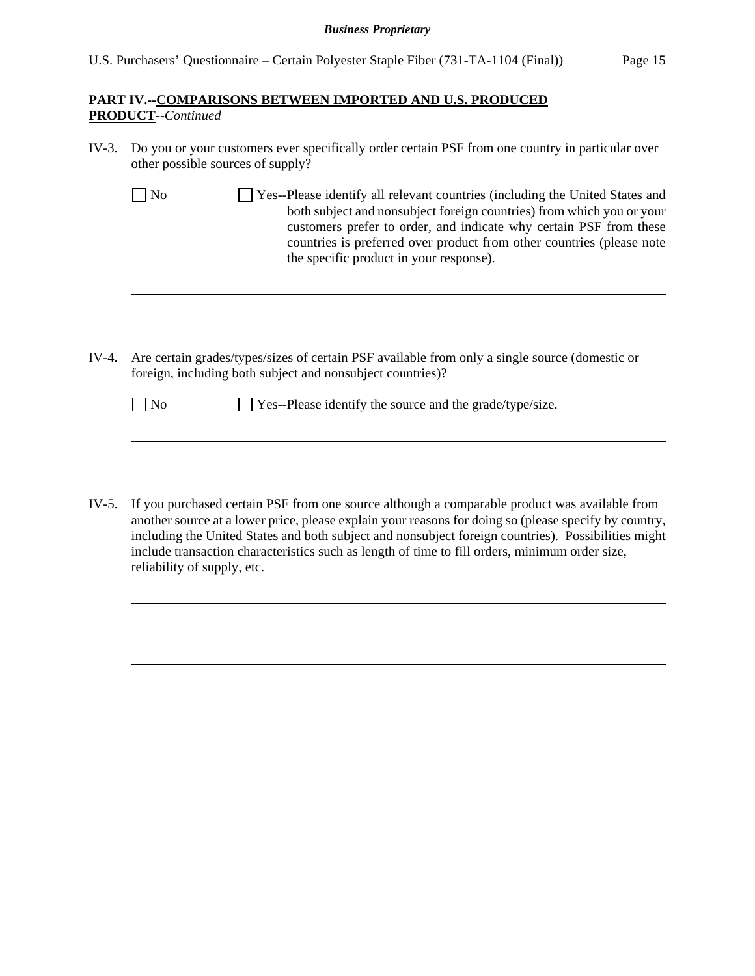## **PART IV.--COMPARISONS BETWEEN IMPORTED AND U.S. PRODUCED PRODUCT***--Continued*

 $\overline{a}$ 

 $\overline{a}$ 

l

- IV-3. Do you or your customers ever specifically order certain PSF from one country in particular over other possible sources of supply?
	- No Ses-Please identify all relevant countries (including the United States and both subject and nonsubject foreign countries) from which you or your customers prefer to order, and indicate why certain PSF from these countries is preferred over product from other countries (please note the specific product in your response).
- IV-4. Are certain grades/types/sizes of certain PSF available from only a single source (domestic or foreign, including both subject and nonsubject countries)?

| $\Box$ No | $\Box$ Yes--Please identify the source and the grade/type/size. |  |
|-----------|-----------------------------------------------------------------|--|
|           |                                                                 |  |

IV-5. If you purchased certain PSF from one source although a comparable product was available from another source at a lower price, please explain your reasons for doing so (please specify by country, including the United States and both subject and nonsubject foreign countries). Possibilities might include transaction characteristics such as length of time to fill orders, minimum order size, reliability of supply, etc.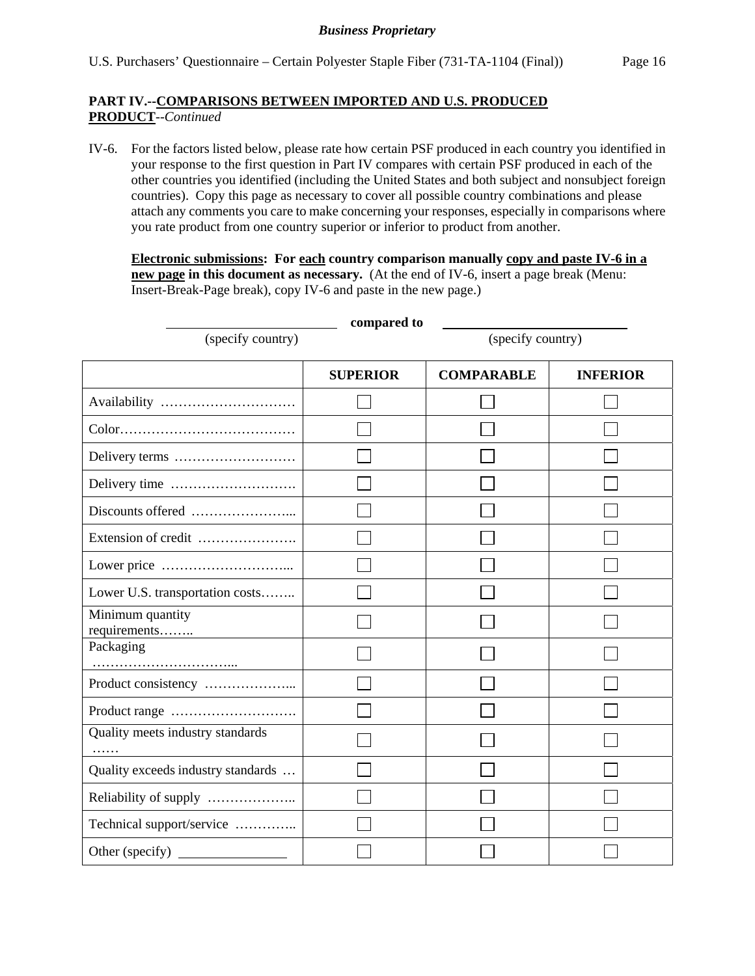## **PART IV.--COMPARISONS BETWEEN IMPORTED AND U.S. PRODUCED PRODUCT**--*Continued*

IV-6. For the factors listed below, please rate how certain PSF produced in each country you identified in your response to the first question in Part IV compares with certain PSF produced in each of the other countries you identified (including the United States and both subject and nonsubject foreign countries). Copy this page as necessary to cover all possible country combinations and please attach any comments you care to make concerning your responses, especially in comparisons where you rate product from one country superior or inferior to product from another.

**Electronic submissions: For each country comparison manually copy and paste IV-6 in a new page in this document as necessary.** (At the end of IV-6, insert a page break (Menu: Insert-Break-Page break), copy IV-6 and paste in the new page.)

| compared to                        |                   |                   |                 |  |  |
|------------------------------------|-------------------|-------------------|-----------------|--|--|
| (specify country)                  | (specify country) |                   |                 |  |  |
|                                    | <b>SUPERIOR</b>   | <b>COMPARABLE</b> | <b>INFERIOR</b> |  |  |
|                                    |                   |                   |                 |  |  |
|                                    |                   |                   |                 |  |  |
|                                    |                   |                   |                 |  |  |
|                                    |                   |                   |                 |  |  |
|                                    |                   |                   |                 |  |  |
| Extension of credit                |                   |                   |                 |  |  |
|                                    |                   |                   |                 |  |  |
| Lower U.S. transportation costs    |                   |                   |                 |  |  |
| Minimum quantity<br>requirements   |                   |                   |                 |  |  |
| Packaging                          |                   |                   |                 |  |  |
|                                    |                   |                   |                 |  |  |
|                                    |                   |                   |                 |  |  |
| Quality meets industry standards   |                   |                   |                 |  |  |
| Quality exceeds industry standards |                   |                   |                 |  |  |
|                                    |                   |                   |                 |  |  |
| Technical support/service          |                   |                   |                 |  |  |
| Other (specify)                    |                   |                   |                 |  |  |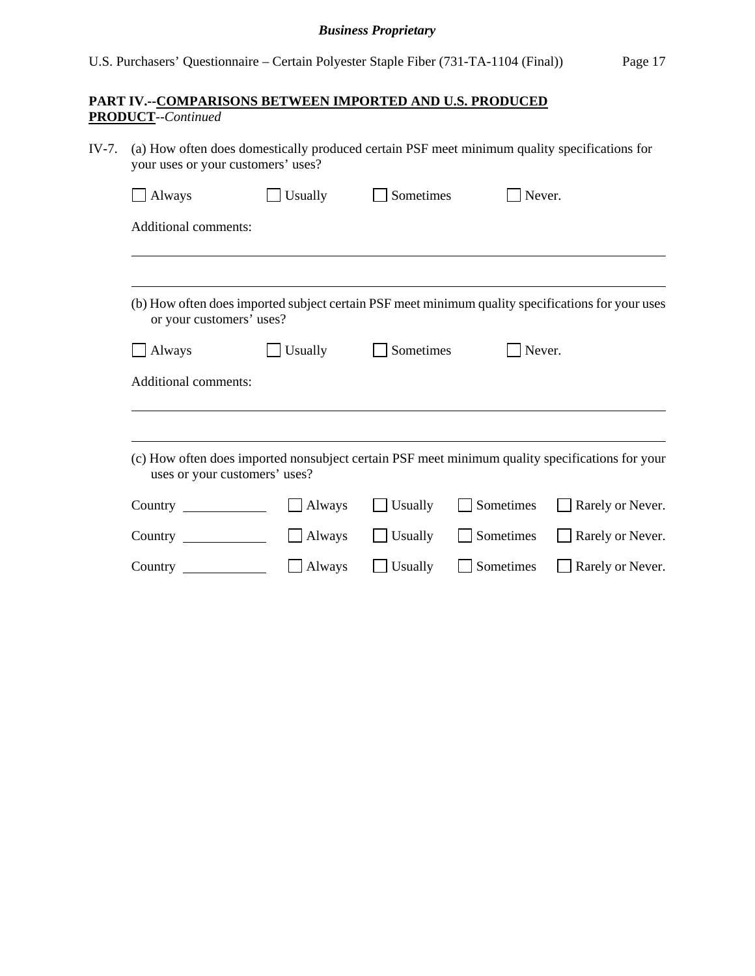# **PART IV.--COMPARISONS BETWEEN IMPORTED AND U.S. PRODUCED PRODUCT**--*Continued*

| IV-7.<br>(a) How often does domestically produced certain PSF meet minimum quality specifications for<br>your uses or your customers' uses? |                                                                                                                                  |         |           |           |                  |  |  |  |  |
|---------------------------------------------------------------------------------------------------------------------------------------------|----------------------------------------------------------------------------------------------------------------------------------|---------|-----------|-----------|------------------|--|--|--|--|
|                                                                                                                                             | $\Box$ Always                                                                                                                    | Usually | Sometimes | Never.    |                  |  |  |  |  |
|                                                                                                                                             | <b>Additional comments:</b>                                                                                                      |         |           |           |                  |  |  |  |  |
|                                                                                                                                             |                                                                                                                                  |         |           |           |                  |  |  |  |  |
|                                                                                                                                             | (b) How often does imported subject certain PSF meet minimum quality specifications for your uses<br>or your customers' uses?    |         |           |           |                  |  |  |  |  |
|                                                                                                                                             | Always                                                                                                                           | Usually | Sometimes | Never.    |                  |  |  |  |  |
|                                                                                                                                             | <b>Additional comments:</b>                                                                                                      |         |           |           |                  |  |  |  |  |
|                                                                                                                                             |                                                                                                                                  |         |           |           |                  |  |  |  |  |
|                                                                                                                                             | (c) How often does imported nonsubject certain PSF meet minimum quality specifications for your<br>uses or your customers' uses? |         |           |           |                  |  |  |  |  |
|                                                                                                                                             | Country                                                                                                                          | Always  | Usually   | Sometimes | Rarely or Never. |  |  |  |  |
|                                                                                                                                             | $Country \_\_$                                                                                                                   | Always  | Usually   | Sometimes | Rarely or Never. |  |  |  |  |
|                                                                                                                                             | Country $\qquad \qquad$                                                                                                          | Always  | Usually   | Sometimes | Rarely or Never. |  |  |  |  |